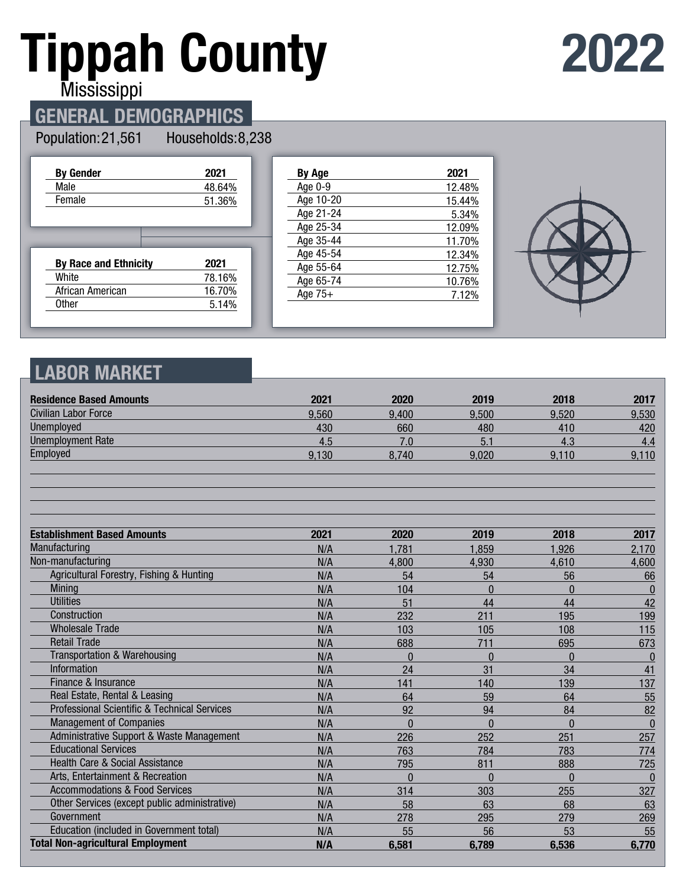# **Tippah County**

**2022**

**Mississippi** 

## **GENERAL DEMOGRAPHICS**

#### Population: 21,561

Households: 8,238

| <b>By Gender</b>             | 2021   |
|------------------------------|--------|
| Male                         | 48.64% |
| Female                       | 51.36% |
|                              |        |
|                              |        |
|                              |        |
|                              |        |
| <b>By Race and Ethnicity</b> | 2021   |
| White                        | 78.16% |
| African American             | 16.70% |

| By Age    | 2021   |
|-----------|--------|
| Age 0-9   | 12.48% |
| Age 10-20 | 15.44% |
| Age 21-24 | 5.34%  |
| Age 25-34 | 12.09% |
| Age 35-44 | 11.70% |
| Age 45-54 | 12.34% |
| Age 55-64 | 12.75% |
| Age 65-74 | 10.76% |
| Age $75+$ | 7.12%  |
|           |        |



### **LABOR MARKET**

| <b>Residence Based Amounts</b>                          | 2021  | 2020     | 2019     | 2018     | 2017         |
|---------------------------------------------------------|-------|----------|----------|----------|--------------|
| <b>Civilian Labor Force</b>                             | 9.560 | 9,400    | 9.500    | 9,520    | 9,530        |
| Unemployed                                              | 430   | 660      | 480      | 410      | 420          |
| <b>Unemployment Rate</b>                                | 4.5   | 7.0      | 5.1      | 4.3      | 4.4          |
| Employed                                                | 9,130 | 8,740    | 9,020    | 9,110    | 9,110        |
|                                                         |       |          |          |          |              |
| <b>Establishment Based Amounts</b>                      | 2021  | 2020     | 2019     | 2018     | 2017         |
| Manufacturing                                           | N/A   | 1,781    | 1,859    | 1,926    | 2,170        |
| Non-manufacturing                                       | N/A   | 4,800    | 4,930    | 4,610    | 4,600        |
| Agricultural Forestry, Fishing & Hunting                | N/A   | 54       | 54       | 56       | 66           |
| Mining                                                  | N/A   | 104      | $\Omega$ | $\Omega$ | $\bf{0}$     |
| <b>Utilities</b>                                        | N/A   | 51       | 44       | 44       | 42           |
| Construction                                            | N/A   | 232      | 211      | 195      | 199          |
| <b>Wholesale Trade</b>                                  | N/A   | 103      | 105      | 108      | 115          |
| <b>Retail Trade</b>                                     | N/A   | 688      | 711      | 695      | 673          |
| <b>Transportation &amp; Warehousing</b>                 | N/A   | $\theta$ | $\Omega$ | $\Omega$ | $\theta$     |
| Information                                             | N/A   | 24       | 31       | 34       | 41           |
| Finance & Insurance                                     | N/A   | 141      | 140      | 139      | 137          |
| Real Estate, Rental & Leasing                           | N/A   | 64       | 59       | 64       | 55           |
| <b>Professional Scientific &amp; Technical Services</b> | N/A   | 92       | 94       | 84       | 82           |
| <b>Management of Companies</b>                          | N/A   | $\Omega$ | $\Omega$ | $\Omega$ | $\mathbf{0}$ |
| Administrative Support & Waste Management               | N/A   | 226      | 252      | 251      | 257          |
| <b>Educational Services</b>                             | N/A   | 763      | 784      | 783      | 774          |
| Health Care & Social Assistance                         | N/A   | 795      | 811      | 888      | 725          |
| Arts, Entertainment & Recreation                        | N/A   | 0        | $\Omega$ | $\Omega$ | $\theta$     |
| <b>Accommodations &amp; Food Services</b>               | N/A   | 314      | 303      | 255      | 327          |
| Other Services (except public administrative)           | N/A   | 58       | 63       | 68       | 63           |
| Government                                              | N/A   | 278      | 295      | 279      | 269          |
| Education (included in Government total)                | N/A   | 55       | 56       | 53       | 55           |
| <b>Total Non-agricultural Employment</b>                | N/A   | 6,581    | 6,789    | 6,536    | 6,770        |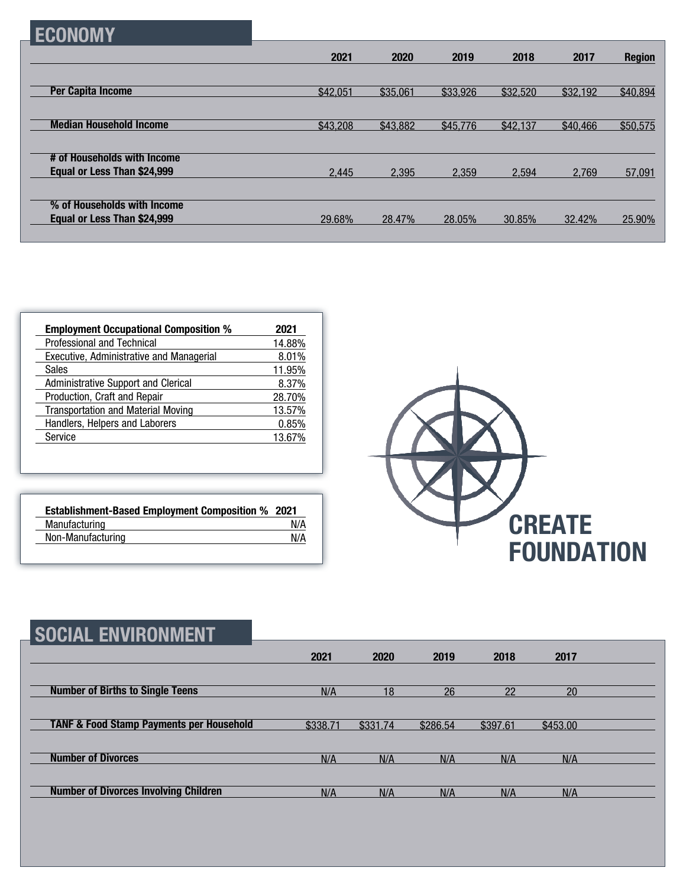|--|

|                                                            | 2021     | 2020     | 2019     | 2018     | 2017     | <b>Region</b> |
|------------------------------------------------------------|----------|----------|----------|----------|----------|---------------|
|                                                            |          |          |          |          |          |               |
| <b>Per Capita Income</b>                                   | \$42,051 | \$35,061 | \$33,926 | \$32,520 | \$32,192 | \$40,894      |
|                                                            |          |          |          |          |          |               |
| <b>Median Household Income</b>                             | \$43,208 | \$43,882 | \$45,776 | \$42,137 | \$40,466 | \$50,575      |
|                                                            |          |          |          |          |          |               |
| # of Households with Income<br>Equal or Less Than \$24,999 | 2,445    | 2,395    | 2.359    | 2.594    | 2.769    | 57,091        |
|                                                            |          |          |          |          |          |               |
| % of Households with Income                                |          |          |          |          |          |               |
| Equal or Less Than \$24,999                                | 29.68%   | 28.47%   | 28.05%   | 30.85%   | 32.42%   | 25.90%        |
|                                                            |          |          |          |          |          |               |

| <b>Employment Occupational Composition %</b> | 2021   |
|----------------------------------------------|--------|
| Professional and Technical                   | 14.88% |
| Executive, Administrative and Managerial     | 8.01%  |
| <b>Sales</b>                                 | 11.95% |
| <b>Administrative Support and Clerical</b>   | 8.37%  |
| Production, Craft and Repair                 | 28.70% |
| <b>Transportation and Material Moving</b>    | 13.57% |
| Handlers, Helpers and Laborers               | 0.85%  |
| Service                                      | 13.67% |

| <b>Establishment-Based Employment Composition % 2021</b> |     |
|----------------------------------------------------------|-----|
| Manufacturing                                            | N/A |
| Non-Manufacturing                                        | N/A |



| <b>SOCIAL ENVIRONMENT</b>                           |          |          |          |          |          |  |
|-----------------------------------------------------|----------|----------|----------|----------|----------|--|
|                                                     | 2021     | 2020     | 2019     | 2018     | 2017     |  |
| <b>Number of Births to Single Teens</b>             | N/A      | 18       | 26       | 22       | 20       |  |
| <b>TANF &amp; Food Stamp Payments per Household</b> | \$338.71 | \$331.74 | \$286.54 | \$397.61 | \$453.00 |  |
| <b>Number of Divorces</b>                           | N/A      | N/A      | N/A      | N/A      | N/A      |  |
| <b>Number of Divorces Involving Children</b>        | N/A      | N/A      | N/A      | N/A      | N/A      |  |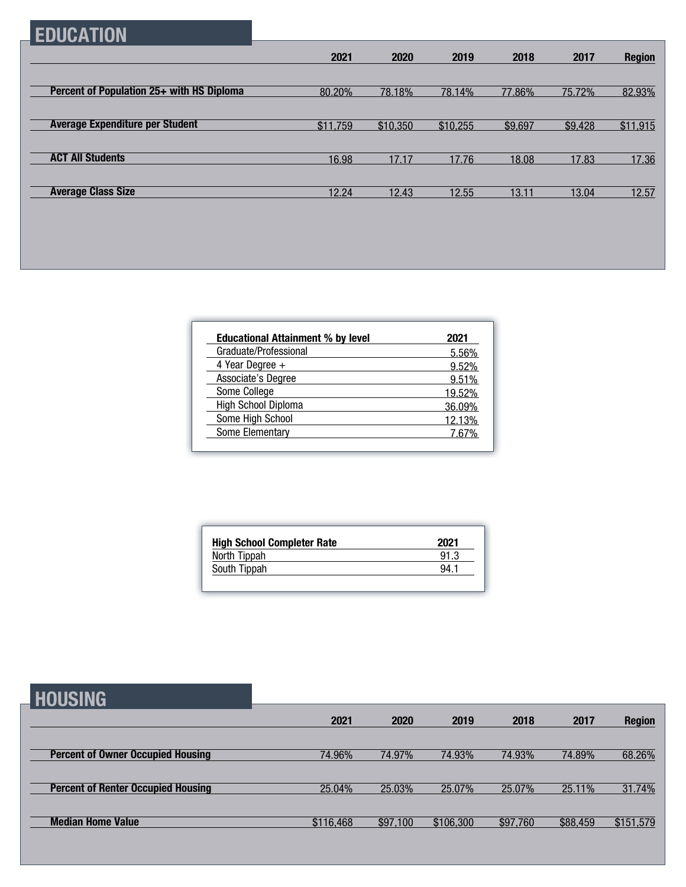## **EDUCATION**

|                                           | 2021     | 2020     | 2019     | 2018    | 2017    | <b>Region</b> |
|-------------------------------------------|----------|----------|----------|---------|---------|---------------|
|                                           |          |          |          |         |         |               |
| Percent of Population 25+ with HS Diploma | 80.20%   | 78.18%   | 78.14%   | 77.86%  | 75.72%  | 82.93%        |
|                                           |          |          |          |         |         |               |
| <b>Average Expenditure per Student</b>    | \$11,759 | \$10,350 | \$10,255 | \$9,697 | \$9,428 | \$11,915      |
|                                           |          |          |          |         |         |               |
| <b>ACT All Students</b>                   | 16.98    | 17.17    | 17.76    | 18.08   | 17.83   | 17.36         |
|                                           |          |          |          |         |         |               |
| <b>Average Class Size</b>                 | 12.24    | 12.43    | 12.55    | 13.11   | 13.04   | 12.57         |

| <b>Educational Attainment % by level</b> | 2021   |
|------------------------------------------|--------|
| Graduate/Professional                    | 5.56%  |
| 4 Year Degree $+$                        | 9.52%  |
| Associate's Degree                       | 9.51%  |
| Some College                             | 19.52% |
| <b>High School Diploma</b>               | 36.09% |
| Some High School                         | 12.13% |
| Some Elementary                          | 7 67%  |

| <b>High School Completer Rate</b> | 2021 |
|-----------------------------------|------|
| North Tippah                      | 91.3 |
| South Tippah                      | 94 1 |

## **HOUSING**

| ----------                                |           |          |           |          |          |               |
|-------------------------------------------|-----------|----------|-----------|----------|----------|---------------|
|                                           | 2021      | 2020     | 2019      | 2018     | 2017     | <b>Region</b> |
|                                           |           |          |           |          |          |               |
| <b>Percent of Owner Occupied Housing</b>  | 74.96%    | 74.97%   | 74.93%    | 74.93%   | 74.89%   | 68.26%        |
|                                           |           |          |           |          |          |               |
| <b>Percent of Renter Occupied Housing</b> | 25.04%    | 25.03%   | 25.07%    | 25.07%   | 25.11%   | 31.74%        |
|                                           |           |          |           |          |          |               |
| <b>Median Home Value</b>                  | \$116,468 | \$97,100 | \$106,300 | \$97,760 | \$88,459 | \$151,579     |
|                                           |           |          |           |          |          |               |